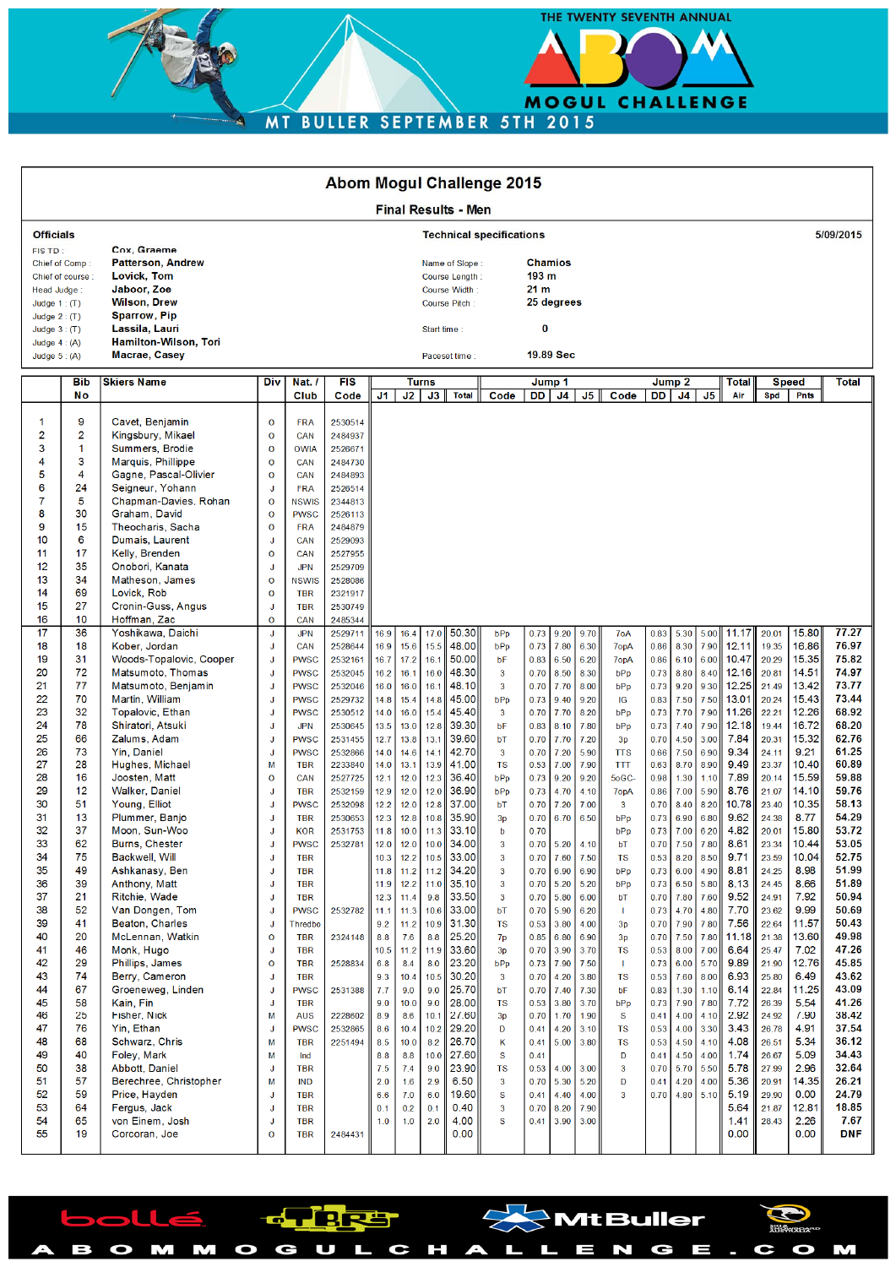MOGUL CHALLENGE MT BULLER SEPTEMBER 5TH 2015

THE TWENTY SEVENTH ANNUAL

 $^{\backprime}$ MtBuller

 $\blacksquare$ 

a a

 $\mathbf{c}$  o

M

| <b>Abom Mogul Challenge 2015</b>                                                                                                                                                                                                                                                                                                                                                                                                                         |                                                                                                                                                                                                                                                                                                                                                                                                                                                                                                                                                                                                                                                                                                   |                                                                                                                                                                                                                                     |                                                                                                                                                                                                                                                                                                                                                                                                                                                                                                                        |                                                                                                                                                                                                                                                                      |                                                                                                                                                                                                                                                                                        |                                                                                                                                                                                                                                                                                             |                                                                                                                                                                                                                             |                                                                                                                                                                                                                                                                                                                                                                                      |                                                                                                                                                                                                                                                                                                                                                                                            |                                                                                                                                                                                                                                                                                                      |                                                                                                                                                                                                                                                                              |                                                                                                                                                                                                                                                                                                |                                                                                                                                                                                                                                                                                                                 |                                                                                                                                                                                                                                                                                              |                                                                                                                                                                                                                                                                              |                                                                                                                                                                                                                                                                                                        |                                                                                                                                                                                                                                                                                                                |                                                                                                                                                                                                                                                                                                                                           |                                                                                                                                                                                                                                                                                                                            |                                                                                                                                                                                                                                                                                                                                           |
|----------------------------------------------------------------------------------------------------------------------------------------------------------------------------------------------------------------------------------------------------------------------------------------------------------------------------------------------------------------------------------------------------------------------------------------------------------|---------------------------------------------------------------------------------------------------------------------------------------------------------------------------------------------------------------------------------------------------------------------------------------------------------------------------------------------------------------------------------------------------------------------------------------------------------------------------------------------------------------------------------------------------------------------------------------------------------------------------------------------------------------------------------------------------|-------------------------------------------------------------------------------------------------------------------------------------------------------------------------------------------------------------------------------------|------------------------------------------------------------------------------------------------------------------------------------------------------------------------------------------------------------------------------------------------------------------------------------------------------------------------------------------------------------------------------------------------------------------------------------------------------------------------------------------------------------------------|----------------------------------------------------------------------------------------------------------------------------------------------------------------------------------------------------------------------------------------------------------------------|----------------------------------------------------------------------------------------------------------------------------------------------------------------------------------------------------------------------------------------------------------------------------------------|---------------------------------------------------------------------------------------------------------------------------------------------------------------------------------------------------------------------------------------------------------------------------------------------|-----------------------------------------------------------------------------------------------------------------------------------------------------------------------------------------------------------------------------|--------------------------------------------------------------------------------------------------------------------------------------------------------------------------------------------------------------------------------------------------------------------------------------------------------------------------------------------------------------------------------------|--------------------------------------------------------------------------------------------------------------------------------------------------------------------------------------------------------------------------------------------------------------------------------------------------------------------------------------------------------------------------------------------|------------------------------------------------------------------------------------------------------------------------------------------------------------------------------------------------------------------------------------------------------------------------------------------------------|------------------------------------------------------------------------------------------------------------------------------------------------------------------------------------------------------------------------------------------------------------------------------|------------------------------------------------------------------------------------------------------------------------------------------------------------------------------------------------------------------------------------------------------------------------------------------------|-----------------------------------------------------------------------------------------------------------------------------------------------------------------------------------------------------------------------------------------------------------------------------------------------------------------|----------------------------------------------------------------------------------------------------------------------------------------------------------------------------------------------------------------------------------------------------------------------------------------------|------------------------------------------------------------------------------------------------------------------------------------------------------------------------------------------------------------------------------------------------------------------------------|--------------------------------------------------------------------------------------------------------------------------------------------------------------------------------------------------------------------------------------------------------------------------------------------------------|----------------------------------------------------------------------------------------------------------------------------------------------------------------------------------------------------------------------------------------------------------------------------------------------------------------|-------------------------------------------------------------------------------------------------------------------------------------------------------------------------------------------------------------------------------------------------------------------------------------------------------------------------------------------|----------------------------------------------------------------------------------------------------------------------------------------------------------------------------------------------------------------------------------------------------------------------------------------------------------------------------|-------------------------------------------------------------------------------------------------------------------------------------------------------------------------------------------------------------------------------------------------------------------------------------------------------------------------------------------|
| <b>Final Results - Men</b>                                                                                                                                                                                                                                                                                                                                                                                                                               |                                                                                                                                                                                                                                                                                                                                                                                                                                                                                                                                                                                                                                                                                                   |                                                                                                                                                                                                                                     |                                                                                                                                                                                                                                                                                                                                                                                                                                                                                                                        |                                                                                                                                                                                                                                                                      |                                                                                                                                                                                                                                                                                        |                                                                                                                                                                                                                                                                                             |                                                                                                                                                                                                                             |                                                                                                                                                                                                                                                                                                                                                                                      |                                                                                                                                                                                                                                                                                                                                                                                            |                                                                                                                                                                                                                                                                                                      |                                                                                                                                                                                                                                                                              |                                                                                                                                                                                                                                                                                                |                                                                                                                                                                                                                                                                                                                 |                                                                                                                                                                                                                                                                                              |                                                                                                                                                                                                                                                                              |                                                                                                                                                                                                                                                                                                        |                                                                                                                                                                                                                                                                                                                |                                                                                                                                                                                                                                                                                                                                           |                                                                                                                                                                                                                                                                                                                            |                                                                                                                                                                                                                                                                                                                                           |
| <b>Officials</b>                                                                                                                                                                                                                                                                                                                                                                                                                                         |                                                                                                                                                                                                                                                                                                                                                                                                                                                                                                                                                                                                                                                                                                   | <b>Technical specifications</b>                                                                                                                                                                                                     |                                                                                                                                                                                                                                                                                                                                                                                                                                                                                                                        |                                                                                                                                                                                                                                                                      |                                                                                                                                                                                                                                                                                        |                                                                                                                                                                                                                                                                                             |                                                                                                                                                                                                                             |                                                                                                                                                                                                                                                                                                                                                                                      |                                                                                                                                                                                                                                                                                                                                                                                            |                                                                                                                                                                                                                                                                                                      |                                                                                                                                                                                                                                                                              | 5/09/2015                                                                                                                                                                                                                                                                                      |                                                                                                                                                                                                                                                                                                                 |                                                                                                                                                                                                                                                                                              |                                                                                                                                                                                                                                                                              |                                                                                                                                                                                                                                                                                                        |                                                                                                                                                                                                                                                                                                                |                                                                                                                                                                                                                                                                                                                                           |                                                                                                                                                                                                                                                                                                                            |                                                                                                                                                                                                                                                                                                                                           |
| Cox. Graeme<br>FIS TD:<br><b>Patterson, Andrew</b><br>Chief of Comp:<br>Lovick, Tom<br>Chief of course:<br>Jaboor, Zoe<br>Head Judge:<br><b>Wilson, Drew</b><br>Judge $1:$ (T)<br><b>Sparrow, Pip</b><br>Judge $2:$ (T)                                                                                                                                                                                                                                  |                                                                                                                                                                                                                                                                                                                                                                                                                                                                                                                                                                                                                                                                                                   |                                                                                                                                                                                                                                     |                                                                                                                                                                                                                                                                                                                                                                                                                                                                                                                        | Name of Slope:<br>Course Length:<br>Course Width:<br>Course Pitch:                                                                                                                                                                                                   |                                                                                                                                                                                                                                                                                        |                                                                                                                                                                                                                                                                                             |                                                                                                                                                                                                                             |                                                                                                                                                                                                                                                                                                                                                                                      | <b>Chamios</b><br>193 m<br>21 <sub>m</sub><br>25 degrees                                                                                                                                                                                                                                                                                                                                   |                                                                                                                                                                                                                                                                                                      |                                                                                                                                                                                                                                                                              |                                                                                                                                                                                                                                                                                                |                                                                                                                                                                                                                                                                                                                 |                                                                                                                                                                                                                                                                                              |                                                                                                                                                                                                                                                                              |                                                                                                                                                                                                                                                                                                        |                                                                                                                                                                                                                                                                                                                |                                                                                                                                                                                                                                                                                                                                           |                                                                                                                                                                                                                                                                                                                            |                                                                                                                                                                                                                                                                                                                                           |
| Judge $3:$ (T)<br>Judge $4: (A)$                                                                                                                                                                                                                                                                                                                                                                                                                         | Lassila, Lauri<br><b>Hamilton-Wilson, Tori</b>                                                                                                                                                                                                                                                                                                                                                                                                                                                                                                                                                                                                                                                    |                                                                                                                                                                                                                                     | 0<br>Start time:                                                                                                                                                                                                                                                                                                                                                                                                                                                                                                       |                                                                                                                                                                                                                                                                      |                                                                                                                                                                                                                                                                                        |                                                                                                                                                                                                                                                                                             |                                                                                                                                                                                                                             |                                                                                                                                                                                                                                                                                                                                                                                      |                                                                                                                                                                                                                                                                                                                                                                                            |                                                                                                                                                                                                                                                                                                      |                                                                                                                                                                                                                                                                              |                                                                                                                                                                                                                                                                                                |                                                                                                                                                                                                                                                                                                                 |                                                                                                                                                                                                                                                                                              |                                                                                                                                                                                                                                                                              |                                                                                                                                                                                                                                                                                                        |                                                                                                                                                                                                                                                                                                                |                                                                                                                                                                                                                                                                                                                                           |                                                                                                                                                                                                                                                                                                                            |                                                                                                                                                                                                                                                                                                                                           |
| Judge $5: (A)$                                                                                                                                                                                                                                                                                                                                                                                                                                           | Macrae, Casey                                                                                                                                                                                                                                                                                                                                                                                                                                                                                                                                                                                                                                                                                     |                                                                                                                                                                                                                                     |                                                                                                                                                                                                                                                                                                                                                                                                                                                                                                                        |                                                                                                                                                                                                                                                                      |                                                                                                                                                                                                                                                                                        |                                                                                                                                                                                                                                                                                             |                                                                                                                                                                                                                             | Paceset time:                                                                                                                                                                                                                                                                                                                                                                        |                                                                                                                                                                                                                                                                                                                                                                                            |                                                                                                                                                                                                                                                                                                      | 19.89 Sec                                                                                                                                                                                                                                                                    |                                                                                                                                                                                                                                                                                                |                                                                                                                                                                                                                                                                                                                 |                                                                                                                                                                                                                                                                                              |                                                                                                                                                                                                                                                                              |                                                                                                                                                                                                                                                                                                        |                                                                                                                                                                                                                                                                                                                |                                                                                                                                                                                                                                                                                                                                           |                                                                                                                                                                                                                                                                                                                            |                                                                                                                                                                                                                                                                                                                                           |
| Bib<br>Νo                                                                                                                                                                                                                                                                                                                                                                                                                                                | <b>Skiers Name</b>                                                                                                                                                                                                                                                                                                                                                                                                                                                                                                                                                                                                                                                                                | Div                                                                                                                                                                                                                                 | Nat. /<br>Club                                                                                                                                                                                                                                                                                                                                                                                                                                                                                                         | <b>FIS</b><br>Code                                                                                                                                                                                                                                                   | J1.                                                                                                                                                                                                                                                                                    | J2                                                                                                                                                                                                                                                                                          | <b>Turns</b><br>J3                                                                                                                                                                                                          | <b>Total</b>                                                                                                                                                                                                                                                                                                                                                                         | Code                                                                                                                                                                                                                                                                                                                                                                                       | DD                                                                                                                                                                                                                                                                                                   | Jump 1<br>J4                                                                                                                                                                                                                                                                 | J <sub>5</sub>                                                                                                                                                                                                                                                                                 | Code                                                                                                                                                                                                                                                                                                            | DD                                                                                                                                                                                                                                                                                           | Jump <sub>2</sub><br>J <sub>4</sub>                                                                                                                                                                                                                                          | J <sub>5</sub>                                                                                                                                                                                                                                                                                         | <b>Total</b><br>Air                                                                                                                                                                                                                                                                                            | Spd                                                                                                                                                                                                                                                                                                                                       | <b>Speed</b><br><b>Pnts</b>                                                                                                                                                                                                                                                                                                | <b>Total</b>                                                                                                                                                                                                                                                                                                                              |
| 9<br>1<br>$\overline{2}$<br>2<br>3<br>1<br>3<br>4<br>5<br>4<br>6<br>24<br>7<br>5<br>8<br>30<br>9<br>15<br>10<br>6<br>11<br>17<br>12<br>35<br>13<br>34<br>14<br>69                                                                                                                                                                                                                                                                                        | Cavet, Benjamin<br>Kingsbury, Mikael<br>Summers, Brodie<br>Marquis, Phillippe<br>Gagne, Pascal-Olivier<br>Seigneur, Yohann<br>Chapman-Davies, Rohan<br>Graham, David<br>Theocharis, Sacha<br>Dumais, Laurent<br>Kelly, Brenden<br>Onobori, Kanata<br>Matheson, James<br>Lovick, Rob                                                                                                                                                                                                                                                                                                                                                                                                               | $\mathbf 0$<br>$\overline{O}$<br>$\overline{O}$<br>$\overline{O}$<br>$\overline{O}$<br>J<br>O<br>O<br>$\mathbf 0$<br>J<br>$\overline{O}$<br>J<br>O<br>O                                                                             | <b>FRA</b><br>CAN<br><b>OWIA</b><br>CAN<br>CAN<br><b>FRA</b><br><b>NSWIS</b><br><b>PWSC</b><br><b>FRA</b><br>CAN<br>CAN<br><b>JPN</b><br><b>NSWIS</b><br><b>TBR</b>                                                                                                                                                                                                                                                                                                                                                    | 2530514<br>2484937<br>2526671<br>2484730<br>2484893<br>2526514<br>2344813<br>2526113<br>2484879<br>2529093<br>2527955<br>2529709<br>2528086<br>2321917                                                                                                               |                                                                                                                                                                                                                                                                                        |                                                                                                                                                                                                                                                                                             |                                                                                                                                                                                                                             |                                                                                                                                                                                                                                                                                                                                                                                      |                                                                                                                                                                                                                                                                                                                                                                                            |                                                                                                                                                                                                                                                                                                      |                                                                                                                                                                                                                                                                              |                                                                                                                                                                                                                                                                                                |                                                                                                                                                                                                                                                                                                                 |                                                                                                                                                                                                                                                                                              |                                                                                                                                                                                                                                                                              |                                                                                                                                                                                                                                                                                                        |                                                                                                                                                                                                                                                                                                                |                                                                                                                                                                                                                                                                                                                                           |                                                                                                                                                                                                                                                                                                                            |                                                                                                                                                                                                                                                                                                                                           |
| 15<br>27<br>16<br>10                                                                                                                                                                                                                                                                                                                                                                                                                                     | Cronin-Guss, Angus<br>Hoffman, Zac                                                                                                                                                                                                                                                                                                                                                                                                                                                                                                                                                                                                                                                                | J<br>$\overline{O}$                                                                                                                                                                                                                 | <b>TBR</b><br>CAN                                                                                                                                                                                                                                                                                                                                                                                                                                                                                                      | 2530749<br>2485344                                                                                                                                                                                                                                                   |                                                                                                                                                                                                                                                                                        |                                                                                                                                                                                                                                                                                             |                                                                                                                                                                                                                             |                                                                                                                                                                                                                                                                                                                                                                                      |                                                                                                                                                                                                                                                                                                                                                                                            |                                                                                                                                                                                                                                                                                                      |                                                                                                                                                                                                                                                                              |                                                                                                                                                                                                                                                                                                |                                                                                                                                                                                                                                                                                                                 |                                                                                                                                                                                                                                                                                              |                                                                                                                                                                                                                                                                              |                                                                                                                                                                                                                                                                                                        |                                                                                                                                                                                                                                                                                                                |                                                                                                                                                                                                                                                                                                                                           |                                                                                                                                                                                                                                                                                                                            |                                                                                                                                                                                                                                                                                                                                           |
| 17<br>36<br>18<br>18<br>19<br>31<br>20<br>72<br>21<br>77<br>22<br>70<br>23<br>32<br>24<br>78<br>25<br>66<br>26<br>73<br>27<br>28<br>28<br>16<br>29<br>12<br>30<br>51<br>31<br>13<br>32<br>37<br>33<br>62<br>34<br>75<br>35<br>49<br>39<br>36<br>37<br>21<br>38<br>52<br>39<br>41<br>40<br>20<br>41<br>46<br>42<br>29<br>43<br>74<br>44<br>67<br>45<br>58<br>46<br>25<br>47<br>76<br>48<br>68<br>49<br>40<br>50<br>38<br>51<br>57<br>52<br>59<br>53<br>64 | Yoshikawa, Daichi<br>Kober, Jordan<br>Woods-Topalovic, Cooper<br>Matsumoto, Thomas<br>Matsumoto, Benjamin<br>Martin, William<br>Topalovic, Ethan<br>Shiratori, Atsuki<br>Zalums, Adam<br>Yin, Daniel<br>Hughes, Michael<br>Joosten, Matt<br>Walker, Daniel<br>Young, Elliot<br>Plummer, Banjo<br>Moon, Sun-Woo<br>Burns, Chester<br>Backwell, Will<br>Ashkanasy, Ben<br>Anthony, Matt<br>Ritchie, Wade<br>Van Dongen, Tom<br>Beaton, Charles<br>McLennan, Watkin<br>Monk, Hugo<br>Phillips, James<br>Berry, Cameron<br>Groeneweg, Linden<br>Kain, Fin<br>Fisher, Nick<br>Yin, Ethan<br>Schwarz, Chris<br>Foley, Mark<br>Abbott, Daniel<br>Berechree, Christopher<br>Price, Hayden<br>Fergus, Jack | J<br>J<br>J<br>J<br>J<br>J<br>J<br>J<br>J<br>J<br>М<br>$\mathbf 0$<br>J<br>J<br>J<br>J<br>J<br>J<br>J<br>J<br>J<br>J<br>$\mathsf J$<br>$\overline{O}$<br>J<br>$\overline{O}$<br>J<br>J<br>J<br>М<br>J<br>M<br>M<br>J<br>M<br>J<br>J | <b>JPN</b><br>CAN<br><b>PWSC</b><br><b>PWSC</b><br><b>PWSC</b><br><b>PWSC</b><br><b>PWSC</b><br><b>JPN</b><br><b>PWSC</b><br><b>PWSC</b><br><b>TBR</b><br>CAN<br><b>TBR</b><br><b>PWSC</b><br><b>TBR</b><br><b>KOR</b><br><b>PWSC</b><br><b>TBR</b><br><b>TBR</b><br><b>TBR</b><br><b>TBR</b><br><b>PWSC</b><br>Thredbo<br><b>TBR</b><br><b>TBR</b><br><b>TBR</b><br><b>TBR</b><br><b>PWSC</b><br><b>TBR</b><br><b>AUS</b><br><b>PWSC</b><br><b>TBR</b><br>Ind<br><b>TBR</b><br><b>IND</b><br><b>TBR</b><br><b>TBR</b> | 2529711<br>2528644<br>2532161<br>2532045<br>2532046<br>2529732<br>2530512<br>2530645<br>2531455<br>2532866<br>2233840<br>2527725<br>2532159<br>2532098<br>2530653<br>2531753<br>2532781<br>2532782<br>2324148<br>2528834<br>2531388<br>2228602<br>2532865<br>2251494 | 16.9<br>16.9<br>16.7<br>16.2<br>16.0<br>14.8<br>14.0<br>13.5<br>12.7<br>14.0<br>14.0<br>12.1<br>12.9<br>12.2<br>12.3<br>11.8<br>12.0<br>10.3<br>11.8<br>11.9<br>12.3<br>11.1<br>9.2<br>8.8<br>10.5<br>6.8<br>9.3<br>7.7<br>9.0<br>8.9<br>8.6<br>8.5<br>8.8<br>7.5<br>2.0<br>6.6<br>0.1 | 16.4<br>15.6<br>17.2<br>16.1<br>16.0<br>15.4<br>16.0<br>13.0<br>13.8<br>14.6<br>13.1<br>12.0<br>12.0<br>12.0<br>12.8<br>10.0<br>12.0<br>12.2<br>11.2<br>12.2<br>11.4<br>11.3<br>11.2<br>7.6<br>11.2<br>8.4<br>10.4<br>9.0<br>10.0<br>8.6<br>10.4<br>10.0<br>8.8<br>7.4<br>1.6<br>7.0<br>0.2 | 17.0<br>15.5<br>16.1<br>16.0<br>16.1<br>14.8<br>15.4<br>12.8<br>13.1<br>14.1<br>13.9<br>12.3<br>12.0<br>12.8<br>10.8<br>10.0<br>8.8<br>11.9<br>8.0<br>10.5<br>9.0<br>9.0<br>10.1<br>10.2<br>8.2<br>9.0<br>2.9<br>6.0<br>0.1 | 50.30<br>48.00<br>50.00<br>48.30<br>48.10<br>45.00<br>45.40<br>39.30<br>39.60<br>42.70<br>41.00<br>36.40<br>36.90<br>37.00<br>35.90<br>$11.3$ 33.10<br>34.00<br>10.5 33.00<br>11.2 34.20<br>11.0 35.10<br>$9.8$ 33.50<br>10.6 33.00<br>10.9 31.30<br>25.20<br> 33.60 <br>23.20<br>30.20<br>25.70<br>28.00<br>27.60<br>29.20<br>26.70<br>10.0 27.60<br>23.90<br>6.50<br>19.60<br>0.40 | bPp<br>bPp<br>bF<br>$\mathbf{3}$<br>$\mathbf{3}$<br>bPp<br>$\mathbf{3}$<br>bF<br>bT<br>$\mathbf{3}$<br><b>TS</b><br>bPp<br>bPp<br>bT<br>3p<br>b<br>3<br>$\mathbf{3}$<br>$\mathbf{3}$<br>$\mathbf{3}$<br>$\mathbf{3}$<br>bT<br><b>TS</b><br>7p<br>3p<br>bPp<br>$\mathbf{3}$<br>bT<br><b>TS</b><br>3p<br>D<br>Κ<br>$\mathbf{s}$<br><b>TS</b><br>$\mathbf{3}$<br>$\mathbf{s}$<br>$\mathbf{3}$ | 0.73<br>0.73<br>0.83<br>0.70<br>0.70<br>0.73<br>0.70<br>0.83<br>0.70<br>0.70<br>0.53<br>0.73<br>0.73<br>0.70<br>0.70<br>0.70<br>0.70<br>0.70<br>0.70<br>0.70<br>0.70<br>0.70<br>0.53<br>0.85<br>0.70<br>0.73<br>0.70<br>0.70<br>0.53<br>0.70<br>0.41<br>0.41<br>0.41<br>0.53<br>0.70<br>0.41<br>0.70 | 9.20<br>7.80<br>6.50<br>8.50<br>7.70<br>9.40<br>7.70<br>8.10<br>7.70<br>7.20<br>7.00<br>9.20<br>4.70<br>7.20<br>6.70<br>7.60<br>6.90<br>5.20<br>5.80<br>5.90<br>3.80<br>6.80<br>3.90<br>7.90<br>4.20<br>7.40<br>3.80<br>1.70<br>4.20<br>5.00<br>4.00<br>5.30<br>4.40<br>8.20 | 9.70<br>6.30<br>6.20<br>8.30<br>8.00<br>9.20<br>8.20<br>7.80<br>7.20<br>5.90<br>7.90<br>9.20<br>4.10<br>7.00<br>6.50<br>$5.20 \, 4.10$<br>7.50<br>6.90<br>5.20<br>6.00<br>6.20<br>4.00<br>6.90<br>3.70<br>7.50<br>3.80<br>7.30<br>3.70<br>1.90<br>3.10<br>3.80<br>3.00<br>5.20<br>4.00<br>7.90 | 7oA<br>7opA<br>7opA<br>bPp<br>bPp<br>IG<br>bPp<br>bPp<br>3p<br><b>TTS</b><br><b>TTT</b><br>5oGC-<br>7opA<br>3<br>bPp<br>bPp<br>bT<br><b>TS</b><br>bPp<br>bPp<br>bТ<br>Т.<br>3p<br>3p<br><b>TS</b><br>-11<br><b>TS</b><br>bF<br>bPp<br>S<br><b>TS</b><br><b>TS</b><br>D<br>$\overline{3}$<br>D<br>$\overline{3}$ | 0.83<br>0.86<br>0.86<br>0.73<br>0.73<br>0.83<br>0.73<br>0.73<br>0.70<br>0.66<br>0.63<br>0.98<br>0.86<br>0.70<br>0.73<br>0.73<br>0.70<br>0.53<br>0.73<br>0.73<br>0.70<br>0.73<br>0.70<br>0.70<br>0.53<br>0.73<br>0.53<br>0.83<br>0.73<br>0.41<br>0.53<br>0.53<br>0.41<br>0.70<br>0.41<br>0.70 | 5.30<br>8.30<br>6.10<br>8.80<br>9.20<br>7.50<br>7.70<br>7.40<br>4.50<br>7.50<br>8.70<br>1.30<br>7.00<br>8.40<br>6.90<br>7.00<br>8.20<br>6.00<br>6.50<br>7.80<br>4.70<br>7.90<br>7.50<br>8.00<br>6.00<br>7.60<br>1.30<br>7.90<br>4.00<br>4.00<br>4.50<br>4.50<br>5.70<br>4.20 | 5.00<br>7.90<br>6.00<br>8.40<br>9.30<br>7.50<br>7.90<br>7.90<br>3.00<br>6.90<br>8.90<br>1.10<br>5.90<br>8.20<br>6.80<br>6.20<br>7.50 7.80<br>8.50<br>4.90<br>5.80<br>7.60<br>4.80<br>7.80<br>7.80<br>7.00<br>5.70<br>8.00<br>1.10<br>7.80<br>4.10<br>3.30<br>4.10<br>4.00<br>5.50<br>4.00<br>4.80 5.10 | 11.17<br>12.11<br>10.47<br>12.16<br>12.25<br>13.01<br>11.26<br>12.18<br>7.84<br>9.34<br>9.49<br>7.89<br>8.76<br>10.78<br>9.62<br>4.82<br>8.61<br>9.71<br>8.81<br>8.13<br>9.52<br>7.70<br>7.56<br>11.18<br>6.64<br>9.89<br>6.93<br>6.14<br>7.72<br>2.92<br>3.43<br>4.08<br>1.74<br>5.78<br>5.36<br>5.19<br>5.64 | 20.01<br>19.35<br>20.29<br>20.81<br>21.49<br>20.24<br>22.21<br>19.44<br>20.31<br>24.11<br>23.37<br>20.14<br>21.07<br>23.40<br>24.38<br>20.01<br>23.34<br>23.59<br>24.25<br>24.45<br>24.91<br>23.62<br>22.64<br>21.38<br>25.47<br>21.90<br>25.80<br>22.84<br>26.39<br>24.92<br>26.78<br>26.51<br>26.67<br>27.99<br>20.91<br>29.90<br>21.87 | 15.80<br>16.86<br>15.35<br>14.51<br>13.42<br>15.43<br>12.26<br>16.72<br>15.32<br>9.21<br>10.40<br>15.59<br>14.10<br>10.35<br>8.77<br>15.80<br>10.44<br>10.04<br>8.98<br>8.66<br>7.92<br>9.99<br>11.57<br>13.60<br>7.02<br>12.76<br>6.49<br>11.25<br>5.54<br>7.90<br>4.91<br>5.34<br>5.09<br>2.96<br>14.35<br>0.00<br>12.81 | 77.27<br>76.97<br>75.82<br>74.97<br>73.77<br>73.44<br>68.92<br>68.20<br>62.76<br>61.25<br>60.89<br>59.88<br>59.76<br>58.13<br>54.29<br>53.72<br>53.05<br>52.75<br>51.99<br>51.89<br>50.94<br>50.69<br>50.43<br>49.98<br>47.26<br>45.85<br>43.62<br>43.09<br>41.26<br>38.42<br>37.54<br>36.12<br>34.43<br>32.64<br>26.21<br>24.79<br>18.85 |

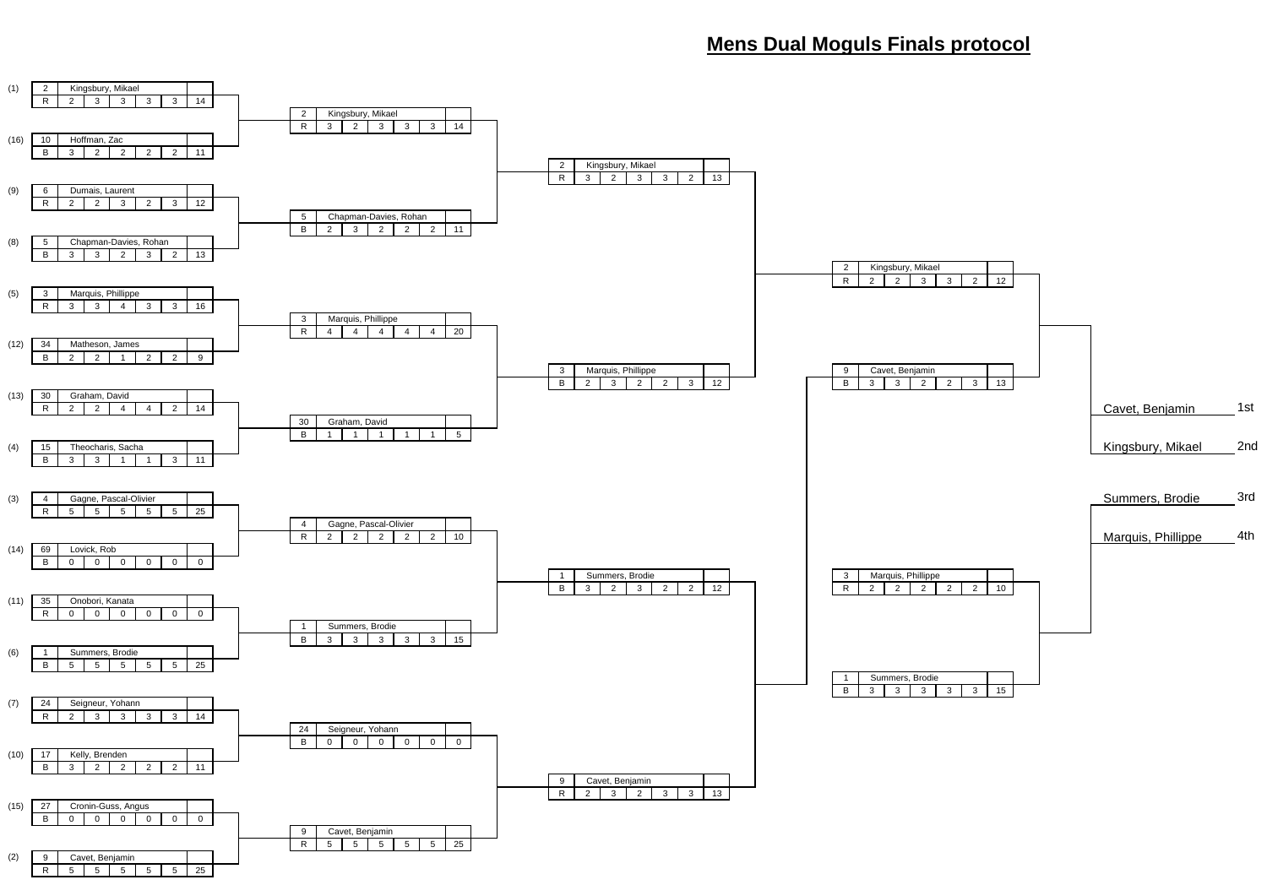